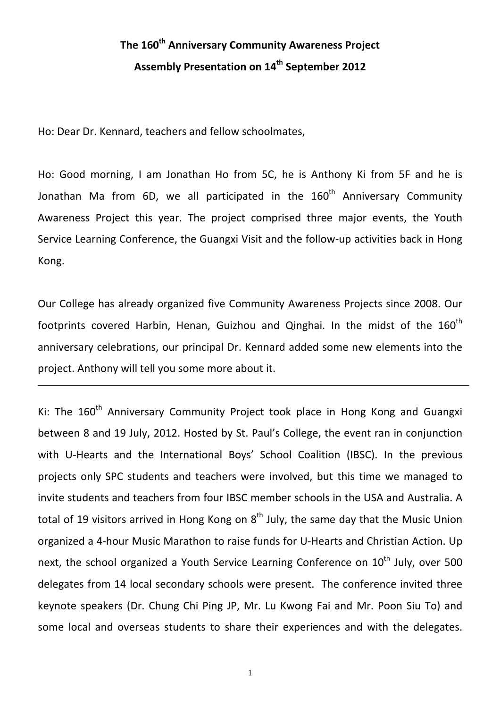## **The 160th Anniversary Community Awareness Project Assembly Presentation on 14th September 2012**

Ho: Dear Dr. Kennard, teachers and fellow schoolmates,

Ho: Good morning, I am Jonathan Ho from 5C, he is Anthony Ki from 5F and he is Jonathan Ma from 6D, we all participated in the  $160<sup>th</sup>$  Anniversary Community Awareness Project this year. The project comprised three major events, the Youth Service Learning Conference, the Guangxi Visit and the follow-up activities back in Hong Kong.

Our College has already organized five Community Awareness Projects since 2008. Our footprints covered Harbin, Henan, Guizhou and Qinghai. In the midst of the  $160<sup>th</sup>$ anniversary celebrations, our principal Dr. Kennard added some new elements into the project. Anthony will tell you some more about it.

Ki: The 160<sup>th</sup> Anniversary Community Project took place in Hong Kong and Guangxi between 8 and 19 July, 2012. Hosted by St. Paul's College, the event ran in conjunction with U-Hearts and the International Boys' School Coalition (IBSC). In the previous projects only SPC students and teachers were involved, but this time we managed to invite students and teachers from four IBSC member schools in the USA and Australia. A total of 19 visitors arrived in Hong Kong on  $8<sup>th</sup>$  July, the same day that the Music Union organized a 4‐hour Music Marathon to raise funds for U‐Hearts and Christian Action. Up next, the school organized a Youth Service Learning Conference on  $10^{th}$  July, over 500 delegates from 14 local secondary schools were present. The conference invited three keynote speakers (Dr. Chung Chi Ping JP, Mr. Lu Kwong Fai and Mr. Poon Siu To) and some local and overseas students to share their experiences and with the delegates.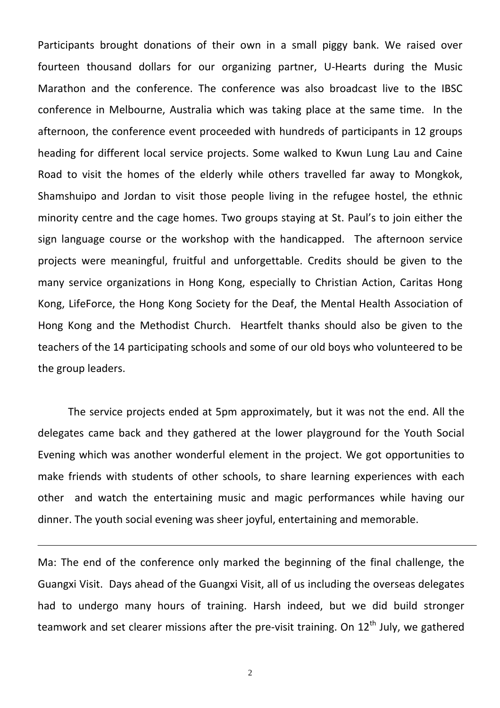Participants brought donations of their own in a small piggy bank. We raised over fourteen thousand dollars for our organizing partner, U-Hearts during the Music Marathon and the conference. The conference was also broadcast live to the IBSC conference in Melbourne, Australia which was taking place at the same time. In the afternoon, the conference event proceeded with hundreds of participants in 12 groups heading for different local service projects. Some walked to Kwun Lung Lau and Caine Road to visit the homes of the elderly while others travelled far away to Mongkok, Shamshuipo and Jordan to visit those people living in the refugee hostel, the ethnic minority centre and the cage homes. Two groups staying at St. Paul's to join either the sign language course or the workshop with the handicapped. The afternoon service projects were meaningful, fruitful and unforgettable. Credits should be given to the many service organizations in Hong Kong, especially to Christian Action, Caritas Hong Kong, LifeForce, the Hong Kong Society for the Deaf, the Mental Health Association of Hong Kong and the Methodist Church. Heartfelt thanks should also be given to the teachers of the 14 participating schools and some of our old boys who volunteered to be the group leaders.

The service projects ended at 5pm approximately, but it was not the end. All the delegates came back and they gathered at the lower playground for the Youth Social Evening which was another wonderful element in the project. We got opportunities to make friends with students of other schools, to share learning experiences with each other and watch the entertaining music and magic performances while having our dinner. The youth social evening was sheer joyful, entertaining and memorable.

Ma: The end of the conference only marked the beginning of the final challenge, the Guangxi Visit. Days ahead of the Guangxi Visit, all of us including the overseas delegates had to undergo many hours of training. Harsh indeed, but we did build stronger teamwork and set clearer missions after the pre-visit training. On 12<sup>th</sup> July, we gathered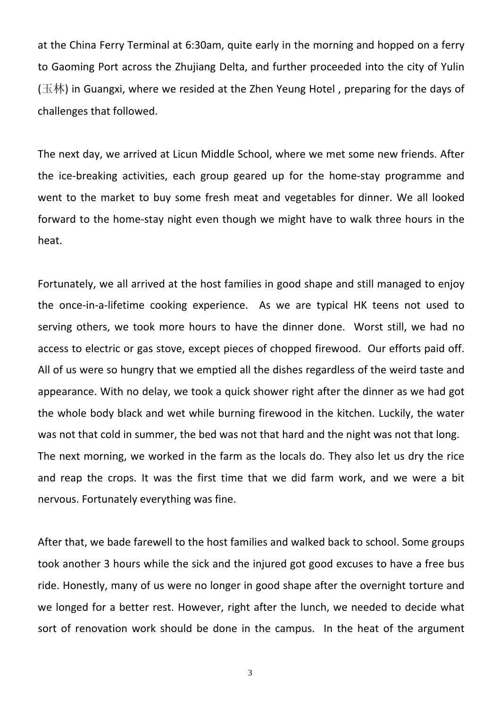at the China Ferry Terminal at 6:30am, quite early in the morning and hopped on a ferry to Gaoming Port across the Zhujiang Delta, and further proceeded into the city of Yulin (玉林) in Guangxi, where we resided at the Zhen Yeung Hotel, preparing for the days of challenges that followed.

The next day, we arrived at Licun Middle School, where we met some new friends. After the ice-breaking activities, each group geared up for the home-stay programme and went to the market to buy some fresh meat and vegetables for dinner. We all looked forward to the home‐stay night even though we might have to walk three hours in the heat.

Fortunately, we all arrived at the host families in good shape and still managed to enjoy the once‐in‐a‐lifetime cooking experience. As we are typical HK teens not used to serving others, we took more hours to have the dinner done. Worst still, we had no access to electric or gas stove, except pieces of chopped firewood. Our efforts paid off. All of us were so hungry that we emptied all the dishes regardless of the weird taste and appearance. With no delay, we took a quick shower right after the dinner as we had got the whole body black and wet while burning firewood in the kitchen. Luckily, the water was not that cold in summer, the bed was not that hard and the night was not that long. The next morning, we worked in the farm as the locals do. They also let us dry the rice and reap the crops. It was the first time that we did farm work, and we were a bit nervous. Fortunately everything was fine.

After that, we bade farewell to the host families and walked back to school. Some groups took another 3 hours while the sick and the injured got good excuses to have a free bus ride. Honestly, many of us were no longer in good shape after the overnight torture and we longed for a better rest. However, right after the lunch, we needed to decide what sort of renovation work should be done in the campus. In the heat of the argument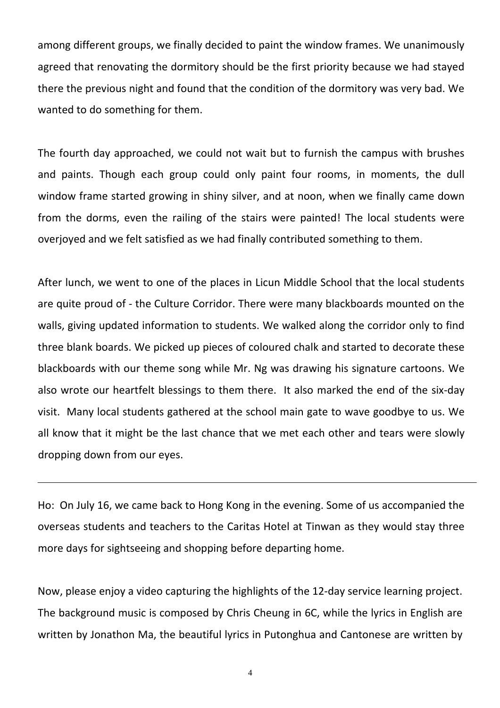among different groups, we finally decided to paint the window frames. We unanimously agreed that renovating the dormitory should be the first priority because we had stayed there the previous night and found that the condition of the dormitory was very bad. We wanted to do something for them.

The fourth day approached, we could not wait but to furnish the campus with brushes and paints. Though each group could only paint four rooms, in moments, the dull window frame started growing in shiny silver, and at noon, when we finally came down from the dorms, even the railing of the stairs were painted! The local students were overjoyed and we felt satisfied as we had finally contributed something to them.

After lunch, we went to one of the places in Licun Middle School that the local students are quite proud of ‐ the Culture Corridor. There were many blackboards mounted on the walls, giving updated information to students. We walked along the corridor only to find three blank boards. We picked up pieces of coloured chalk and started to decorate these blackboards with our theme song while Mr. Ng was drawing his signature cartoons. We also wrote our heartfelt blessings to them there. It also marked the end of the six‐day visit. Many local students gathered at the school main gate to wave goodbye to us. We all know that it might be the last chance that we met each other and tears were slowly dropping down from our eyes.

Ho: On July 16, we came back to Hong Kong in the evening. Some of us accompanied the overseas students and teachers to the Caritas Hotel at Tinwan as they would stay three more days for sightseeing and shopping before departing home.

Now, please enjoy a video capturing the highlights of the 12‐day service learning project. The background music is composed by Chris Cheung in 6C, while the lyrics in English are written by Jonathon Ma, the beautiful lyrics in Putonghua and Cantonese are written by